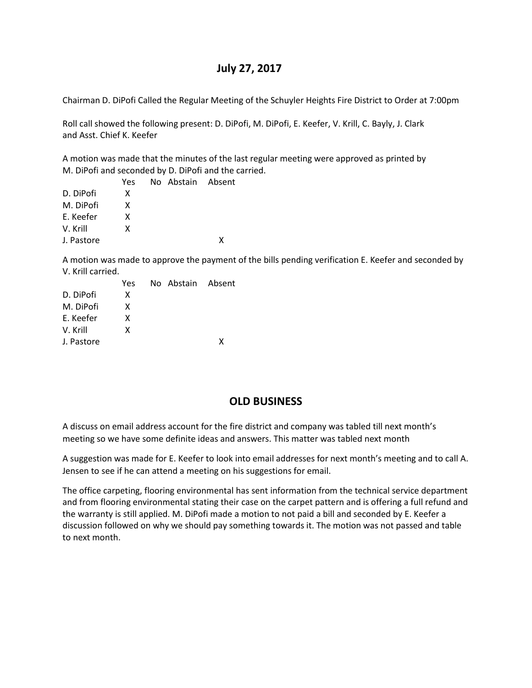# **July 27, 2017**

Chairman D. DiPofi Called the Regular Meeting of the Schuyler Heights Fire District to Order at 7:00pm

Roll call showed the following present: D. DiPofi, M. DiPofi, E. Keefer, V. Krill, C. Bayly, J. Clark and Asst. Chief K. Keefer

A motion was made that the minutes of the last regular meeting were approved as printed by M. DiPofi and seconded by D. DiPofi and the carried.

|            | Yes | No Abstain Absent |   |
|------------|-----|-------------------|---|
| D. DiPofi  | x   |                   |   |
| M. DiPofi  | x   |                   |   |
| E. Keefer  | x   |                   |   |
| V. Krill   | x   |                   |   |
| J. Pastore |     |                   | x |
|            |     |                   |   |

A motion was made to approve the payment of the bills pending verification E. Keefer and seconded by V. Krill carried.

|            | Yes | No Abstain Absent |   |
|------------|-----|-------------------|---|
| D. DiPofi  | x   |                   |   |
| M. DiPofi  | x   |                   |   |
| F. Keefer  | x   |                   |   |
| V. Krill   | x   |                   |   |
| J. Pastore |     |                   | x |
|            |     |                   |   |

## **OLD BUSINESS**

A discuss on email address account for the fire district and company was tabled till next month's meeting so we have some definite ideas and answers. This matter was tabled next month

A suggestion was made for E. Keefer to look into email addresses for next month's meeting and to call A. Jensen to see if he can attend a meeting on his suggestions for email.

The office carpeting, flooring environmental has sent information from the technical service department and from flooring environmental stating their case on the carpet pattern and is offering a full refund and the warranty is still applied. M. DiPofi made a motion to not paid a bill and seconded by E. Keefer a discussion followed on why we should pay something towards it. The motion was not passed and table to next month.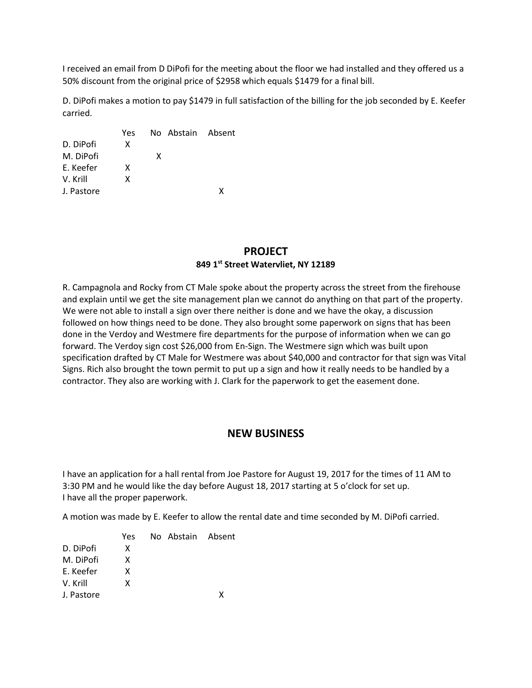I received an email from D DiPofi for the meeting about the floor we had installed and they offered us a 50% discount from the original price of \$2958 which equals \$1479 for a final bill.

D. DiPofi makes a motion to pay \$1479 in full satisfaction of the billing for the job seconded by E. Keefer carried.

| Yes |   |                   |
|-----|---|-------------------|
| x   |   |                   |
|     | x |                   |
| x   |   |                   |
| x   |   |                   |
|     |   | x                 |
|     |   | No Abstain Absent |

### **PROJECT 849 1st Street Watervliet, NY 12189**

R. Campagnola and Rocky from CT Male spoke about the property across the street from the firehouse and explain until we get the site management plan we cannot do anything on that part of the property. We were not able to install a sign over there neither is done and we have the okay, a discussion followed on how things need to be done. They also brought some paperwork on signs that has been done in the Verdoy and Westmere fire departments for the purpose of information when we can go forward. The Verdoy sign cost \$26,000 from En-Sign. The Westmere sign which was built upon specification drafted by CT Male for Westmere was about \$40,000 and contractor for that sign was Vital Signs. Rich also brought the town permit to put up a sign and how it really needs to be handled by a contractor. They also are working with J. Clark for the paperwork to get the easement done.

## **NEW BUSINESS**

I have an application for a hall rental from Joe Pastore for August 19, 2017 for the times of 11 AM to 3:30 PM and he would like the day before August 18, 2017 starting at 5 o'clock for set up. I have all the proper paperwork.

A motion was made by E. Keefer to allow the rental date and time seconded by M. DiPofi carried.

|            | Yes | No Abstain Absent |   |
|------------|-----|-------------------|---|
| D. DiPofi  | x   |                   |   |
| M. DiPofi  | x   |                   |   |
| F. Keefer  | x   |                   |   |
| V. Krill   | x   |                   |   |
| J. Pastore |     |                   | χ |
|            |     |                   |   |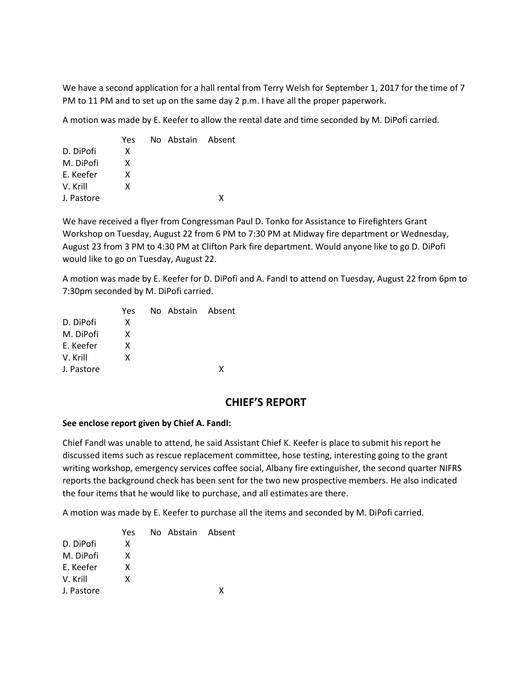We have a second application for a hall rental from Terry Welsh for September 1, 2017 for the time of 7 PM to 11 PM and to set up on the same day 2 p.m. I have all the proper paperwork.

A motion was made by E. Keefer to allow the rental date and time seconded by M. DiPofi carried.

|            | Yes | No Abstain Absent |   |
|------------|-----|-------------------|---|
| D. DiPofi  | x   |                   |   |
| M. DiPofi  | x   |                   |   |
| F. Keefer  | x   |                   |   |
| V. Krill   | x   |                   |   |
| J. Pastore |     |                   | x |
|            |     |                   |   |

We have received a flyer from Congressman Paul D. Tonko for Assistance to Firefighters Grant Workshop on Tuesday, August 22 from 6 PM to 7:30 PM at Midway fire department or Wednesday, August 23 from 3 PM to 4:30 PM at Clifton Park fire department. Would anyone like to go D. DiPofi would like to go on Tuesday, August 22.

A motion was made by E. Keefer for D. DiPofi and A. Fandl to attend on Tuesday, August 22 from 6pm to 7:30pm seconded by M. DiPofi carried.

| Yes |  |                   |
|-----|--|-------------------|
| x   |  |                   |
| x   |  |                   |
| x   |  |                   |
| x   |  |                   |
|     |  | x                 |
|     |  | No Abstain Absent |

## **CHIEF'S REPORT**

#### **See enclose report given by Chief A. Fandl:**

Chief Fandl was unable to attend, he said Assistant Chief K. Keefer is place to submit his report he discussed items such as rescue replacement committee, hose testing, interesting going to the grant writing workshop, emergency services coffee social, Albany fire extinguisher, the second quarter NIFRS reports the background check has been sent for the two new prospective members. He also indicated the four items that he would like to purchase, and all estimates are there.

A motion was made by E. Keefer to purchase all the items and seconded by M. DiPofi carried.

|            | Yes | No Abstain Absent |   |
|------------|-----|-------------------|---|
| D. DiPofi  | x   |                   |   |
| M. DiPofi  | x   |                   |   |
| F. Keefer  | x   |                   |   |
| V. Krill   | x   |                   |   |
| J. Pastore |     |                   | x |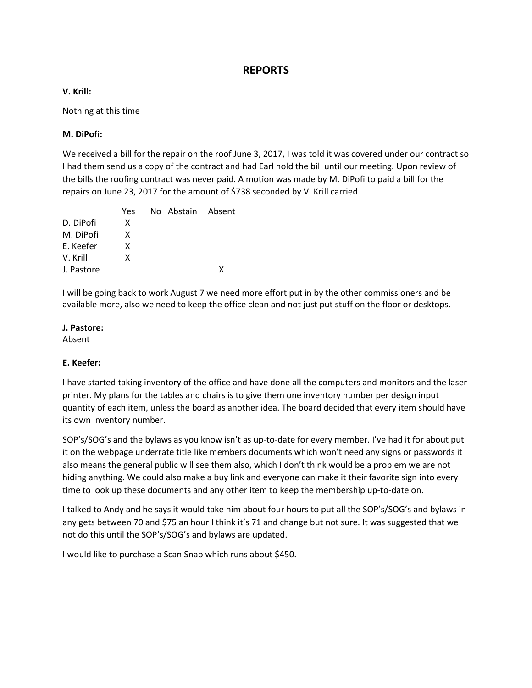## **REPORTS**

#### **V. Krill:**

Nothing at this time

#### **M. DiPofi:**

We received a bill for the repair on the roof June 3, 2017, I was told it was covered under our contract so I had them send us a copy of the contract and had Earl hold the bill until our meeting. Upon review of the bills the roofing contract was never paid. A motion was made by M. DiPofi to paid a bill for the repairs on June 23, 2017 for the amount of \$738 seconded by V. Krill carried

|            | Yes | No Abstain Absent |   |
|------------|-----|-------------------|---|
| D. DiPofi  | x   |                   |   |
| M. DiPofi  | x   |                   |   |
| E. Keefer  | x   |                   |   |
| V. Krill   | x   |                   |   |
| J. Pastore |     |                   | x |

I will be going back to work August 7 we need more effort put in by the other commissioners and be available more, also we need to keep the office clean and not just put stuff on the floor or desktops.

#### **J. Pastore:**

Absent

### **E. Keefer:**

I have started taking inventory of the office and have done all the computers and monitors and the laser printer. My plans for the tables and chairs is to give them one inventory number per design input quantity of each item, unless the board as another idea. The board decided that every item should have its own inventory number.

SOP's/SOG's and the bylaws as you know isn't as up-to-date for every member. I've had it for about put it on the webpage underrate title like members documents which won't need any signs or passwords it also means the general public will see them also, which I don't think would be a problem we are not hiding anything. We could also make a buy link and everyone can make it their favorite sign into every time to look up these documents and any other item to keep the membership up-to-date on.

I talked to Andy and he says it would take him about four hours to put all the SOP's/SOG's and bylaws in any gets between 70 and \$75 an hour I think it's 71 and change but not sure. It was suggested that we not do this until the SOP's/SOG's and bylaws are updated.

I would like to purchase a Scan Snap which runs about \$450.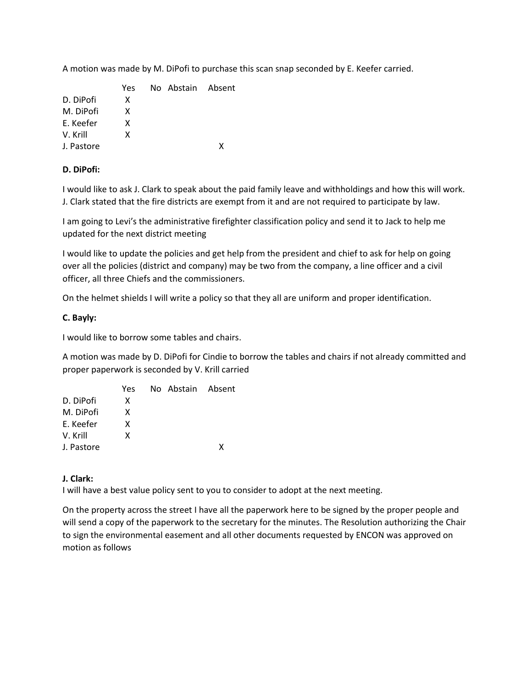A motion was made by M. DiPofi to purchase this scan snap seconded by E. Keefer carried.

 Yes No Abstain Absent D. DiPofi X M. DiPofi X E. Keefer X V. Krill X J. Pastore X

#### **D. DiPofi:**

I would like to ask J. Clark to speak about the paid family leave and withholdings and how this will work. J. Clark stated that the fire districts are exempt from it and are not required to participate by law.

I am going to Levi's the administrative firefighter classification policy and send it to Jack to help me updated for the next district meeting

I would like to update the policies and get help from the president and chief to ask for help on going over all the policies (district and company) may be two from the company, a line officer and a civil officer, all three Chiefs and the commissioners.

On the helmet shields I will write a policy so that they all are uniform and proper identification.

#### **C. Bayly:**

I would like to borrow some tables and chairs.

A motion was made by D. DiPofi for Cindie to borrow the tables and chairs if not already committed and proper paperwork is seconded by V. Krill carried

|            | Yes |  | No Abstain Absent |
|------------|-----|--|-------------------|
| D. DiPofi  | x   |  |                   |
| M. DiPofi  | x   |  |                   |
| F. Keefer  | x   |  |                   |
| V. Krill   | x   |  |                   |
| J. Pastore |     |  | ¥                 |

#### **J. Clark:**

I will have a best value policy sent to you to consider to adopt at the next meeting.

On the property across the street I have all the paperwork here to be signed by the proper people and will send a copy of the paperwork to the secretary for the minutes. The Resolution authorizing the Chair to sign the environmental easement and all other documents requested by ENCON was approved on motion as follows